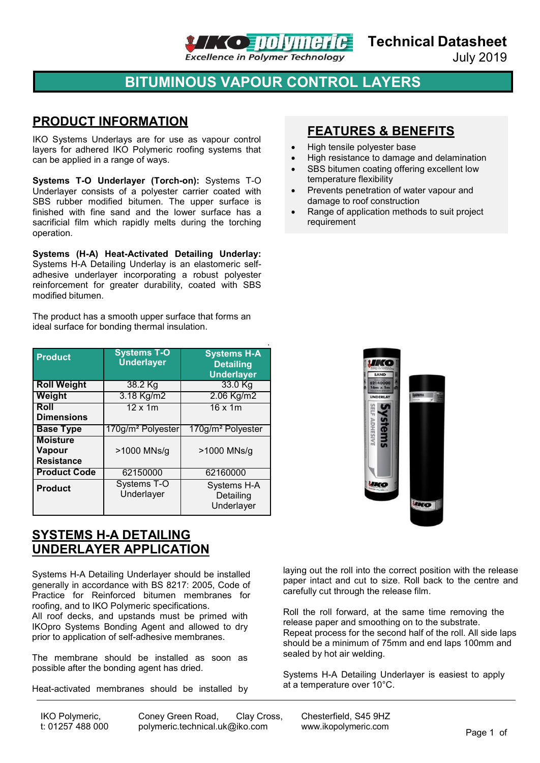

**Technical Datasheet**

July 2019

# **BITUMINOUS VAPOUR CONTROL LAYERS**

### **PRODUCT INFORMATION**

IKO Systems Underlays are for use as vapour control layers for adhered IKO Polymeric roofing systems that can be applied in a range of ways.

**Systems T-O Underlayer (Torch-on):** Systems T-O Underlayer consists of a polyester carrier coated with SBS rubber modified bitumen. The upper surface is finished with fine sand and the lower surface has a sacrificial film which rapidly melts during the torching operation.

**Systems (H-A) Heat-Activated Detailing Underlay:**  Systems H-A Detailing Underlay is an elastomeric selfadhesive underlayer incorporating a robust polyester reinforcement for greater durability, coated with SBS modified bitumen.

The product has a smooth upper surface that forms an ideal surface for bonding thermal insulation.

| <b>Product</b>                                 | <b>Systems T-O</b><br><b>Underlayer</b> | <b>Systems H-A</b><br><b>Detailing</b><br><b>Underlayer</b> |
|------------------------------------------------|-----------------------------------------|-------------------------------------------------------------|
| <b>Roll Weight</b>                             | 38.2 Kg                                 | 33.0 Kg                                                     |
| Weight                                         | 3.18 Kg/m2                              | 2.06 Kg/m2                                                  |
| Roll<br><b>Dimensions</b>                      | $12 \times 1m$                          | $16 \times 1m$                                              |
| <b>Base Type</b>                               | 170g/m <sup>2</sup> Polyester           | 170g/m <sup>2</sup> Polyester                               |
| <b>Moisture</b><br>Vapour<br><b>Resistance</b> | >1000 MNs/g                             | >1000 MNs/g                                                 |
| <b>Product Code</b>                            | 62150000                                | 62160000                                                    |
| <b>Product</b>                                 | <b>Systems T-O</b><br>Underlayer        | Systems H-A<br>Detailing<br>Underlayer                      |

#### **SYSTEMS H-A DETAILING UNDERLAYER APPLICATION**

Systems H-A Detailing Underlayer should be installed generally in accordance with BS 8217: 2005, Code of Practice for Reinforced bitumen membranes for roofing, and to IKO Polymeric specifications.

All roof decks, and upstands must be primed with IKOpro Systems Bonding Agent and allowed to dry prior to application of self-adhesive membranes.

The membrane should be installed as soon as possible after the bonding agent has dried.

Heat-activated membranes should be installed by

IKO Polymeric, t: 01257 488 000

Coney Green Road, Clay Cross, Chesterfield, S45 9HZ<br>polymeric.technical.uk@iko.com www.ikopolymeric.com [polymeric.technical.uk@iko.com](mailto:polymeric.technical.uk@iko.com) [www.ikopolymeric.com](http://www.ikopolymeric.com/) Page 1 of

## **FEATURES & BENEFITS**

- High tensile polyester base
- High resistance to damage and delamination
- SBS bitumen coating offering excellent low temperature flexibility
- Prevents penetration of water vapour and damage to roof construction
- Range of application methods to suit project requirement



laying out the roll into the correct position with the release paper intact and cut to size. Roll back to the centre and carefully cut through the release film.

Roll the roll forward, at the same time removing the release paper and smoothing on to the substrate. Repeat process for the second half of the roll. All side laps should be a minimum of 75mm and end laps 100mm and sealed by hot air welding.

Systems H-A Detailing Underlayer is easiest to apply at a temperature over 10°C.